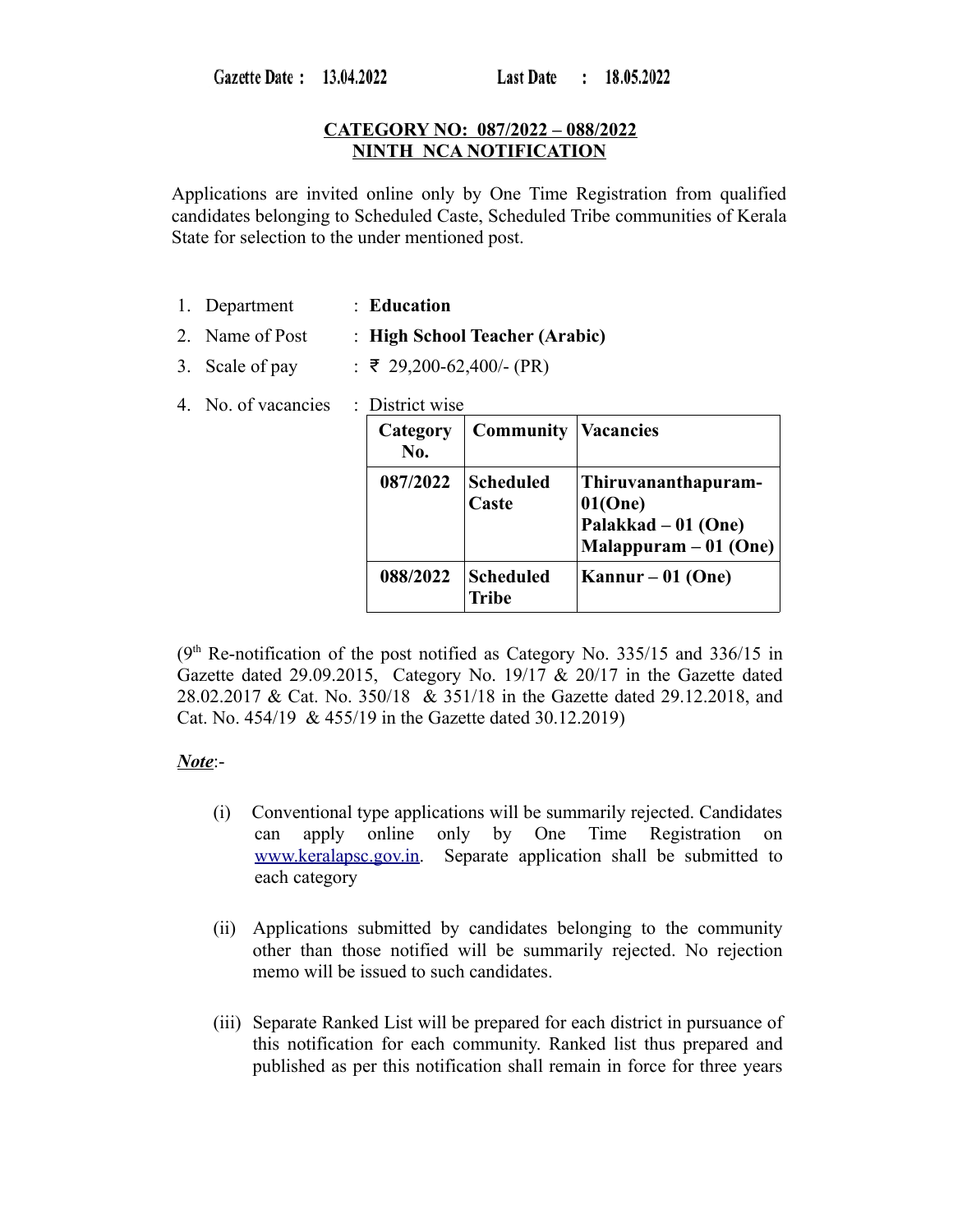Gazette Date: 13.04.2022

# **CATEGORY NO: 087/2022 – 088/2022 NINTH NCA NOTIFICATION**

Applications are invited online only by One Time Registration from qualified candidates belonging to Scheduled Caste, Scheduled Tribe communities of Kerala State for selection to the under mentioned post.

- 1. Department : **Education**
- 2. Name of Post : **High School Teacher (Arabic)**
- 3. Scale of pay :  $\overline{z}$  29,200-62,400/- (PR)
- 4. No. of vacancies : District wise

| Category<br>No. | <b>Community</b>          | <b>Vacancies</b>                                                                 |
|-----------------|---------------------------|----------------------------------------------------------------------------------|
| 087/2022        | <b>Scheduled</b><br>Caste | Thiruvananthapuram-<br>01(One)<br>Palakkad – 01 (One)<br>$Malappuram - 01 (One)$ |
| 088/2022        | <b>Scheduled</b><br>Tribe | Kannur – 01 (One)                                                                |

 $(9<sup>th</sup>$  Re-notification of the post notified as Category No. 335/15 and 336/15 in Gazette dated 29.09.2015, Category No. 19/17 & 20/17 in the Gazette dated 28.02.2017 & Cat. No. 350/18 & 351/18 in the Gazette dated 29.12.2018, and Cat. No. 454/19 & 455/19 in the Gazette dated 30.12.2019)

# *Note*:-

- (i) Conventional type applications will be summarily rejected. Candidates can apply online only by One Time Registration on [www.keralapsc.gov.in.](http://www.keralapsc.gov.in/) Separate application shall be submitted to each category
- (ii) Applications submitted by candidates belonging to the community other than those notified will be summarily rejected. No rejection memo will be issued to such candidates.
- (iii) Separate Ranked List will be prepared for each district in pursuance of this notification for each community. Ranked list thus prepared and published as per this notification shall remain in force for three years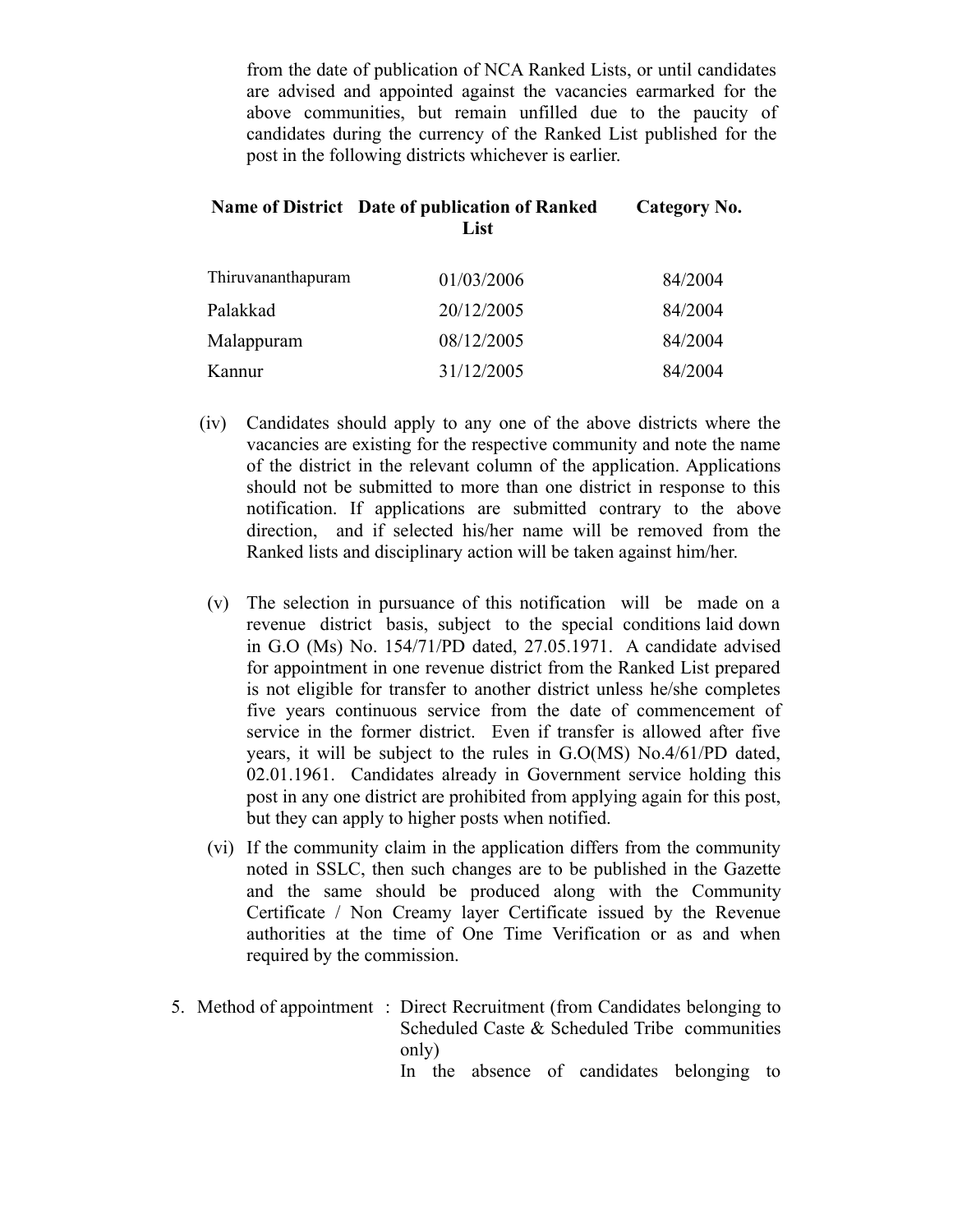from the date of publication of NCA Ranked Lists, or until candidates are advised and appointed against the vacancies earmarked for the above communities, but remain unfilled due to the paucity of candidates during the currency of the Ranked List published for the post in the following districts whichever is earlier.

#### **Name of District Date of publication of Ranked List Category No.**

| Thiruvananthapuram | 01/03/2006 | 84/2004 |
|--------------------|------------|---------|
| Palakkad           | 20/12/2005 | 84/2004 |
| Malappuram         | 08/12/2005 | 84/2004 |
| Kannur             | 31/12/2005 | 84/2004 |

- (iv) Candidates should apply to any one of the above districts where the vacancies are existing for the respective community and note the name of the district in the relevant column of the application. Applications should not be submitted to more than one district in response to this notification. If applications are submitted contrary to the above direction, and if selected his/her name will be removed from the Ranked lists and disciplinary action will be taken against him/her.
- (v) The selection in pursuance of this notification will be made on a revenue district basis, subject to the special conditions laid down in G.O (Ms) No. 154/71/PD dated, 27.05.1971. A candidate advised for appointment in one revenue district from the Ranked List prepared is not eligible for transfer to another district unless he/she completes five years continuous service from the date of commencement of service in the former district. Even if transfer is allowed after five years, it will be subject to the rules in G.O(MS) No.4/61/PD dated, 02.01.1961. Candidates already in Government service holding this post in any one district are prohibited from applying again for this post, but they can apply to higher posts when notified.
- (vi) If the community claim in the application differs from the community noted in SSLC, then such changes are to be published in the Gazette and the same should be produced along with the Community Certificate / Non Creamy layer Certificate issued by the Revenue authorities at the time of One Time Verification or as and when required by the commission.
- 5. Method of appointment : Direct Recruitment (from Candidates belonging to Scheduled Caste & Scheduled Tribe communities only) In the absence of candidates belonging to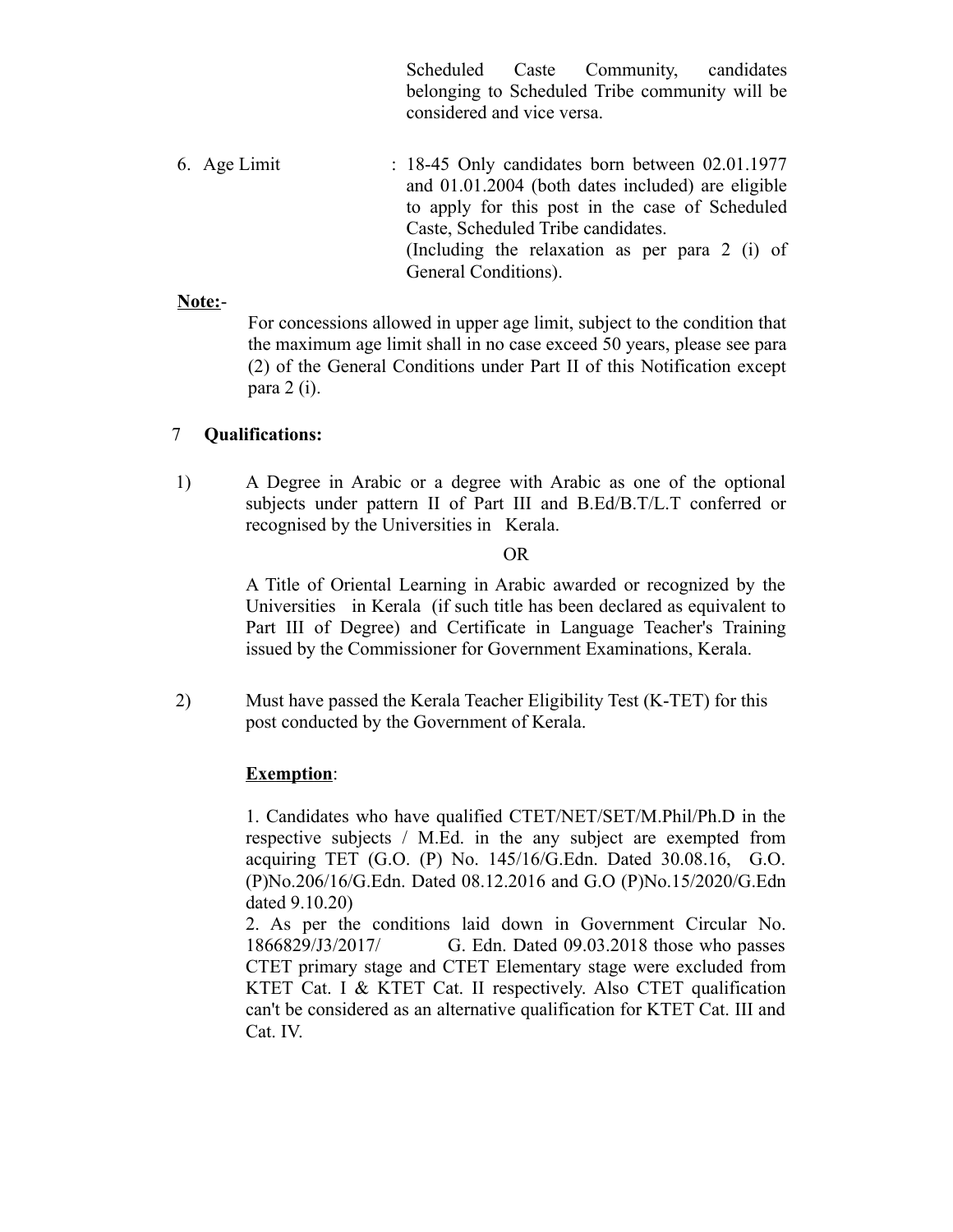Scheduled Caste Community, candidates belonging to Scheduled Tribe community will be considered and vice versa.

6. Age Limit : 18-45 Only candidates born between 02.01.1977 and 01.01.2004 (both dates included) are eligible to apply for this post in the case of Scheduled Caste, Scheduled Tribe candidates. (Including the relaxation as per para 2 (i) of General Conditions).

### **Note:**-

For concessions allowed in upper age limit, subject to the condition that the maximum age limit shall in no case exceed 50 years, please see para (2) of the General Conditions under Part II of this Notification except para 2 (i).

# 7 **Qualifications:**

1) A Degree in Arabic or a degree with Arabic as one of the optional subjects under pattern II of Part III and B.Ed/B.T/L.T conferred or recognised by the Universities in Kerala.

### OR

A Title of Oriental Learning in Arabic awarded or recognized by the Universities in Kerala (if such title has been declared as equivalent to Part III of Degree) and Certificate in Language Teacher's Training issued by the Commissioner for Government Examinations, Kerala.

2) Must have passed the Kerala Teacher Eligibility Test (K-TET) for this post conducted by the Government of Kerala.

# **Exemption**:

1. Candidates who have qualified CTET/NET/SET/M.Phil/Ph.D in the respective subjects / M.Ed. in the any subject are exempted from acquiring TET (G.O. (P) No. 145/16/G.Edn. Dated 30.08.16, G.O. (P)No.206/16/G.Edn. Dated 08.12.2016 and G.O (P)No.15/2020/G.Edn dated 9.10.20)

2. As per the conditions laid down in Government Circular No. 1866829/J3/2017/ G. Edn. Dated 09.03.2018 those who passes CTET primary stage and CTET Elementary stage were excluded from KTET Cat. I & KTET Cat. II respectively. Also CTET qualification can't be considered as an alternative qualification for KTET Cat. III and Cat. IV.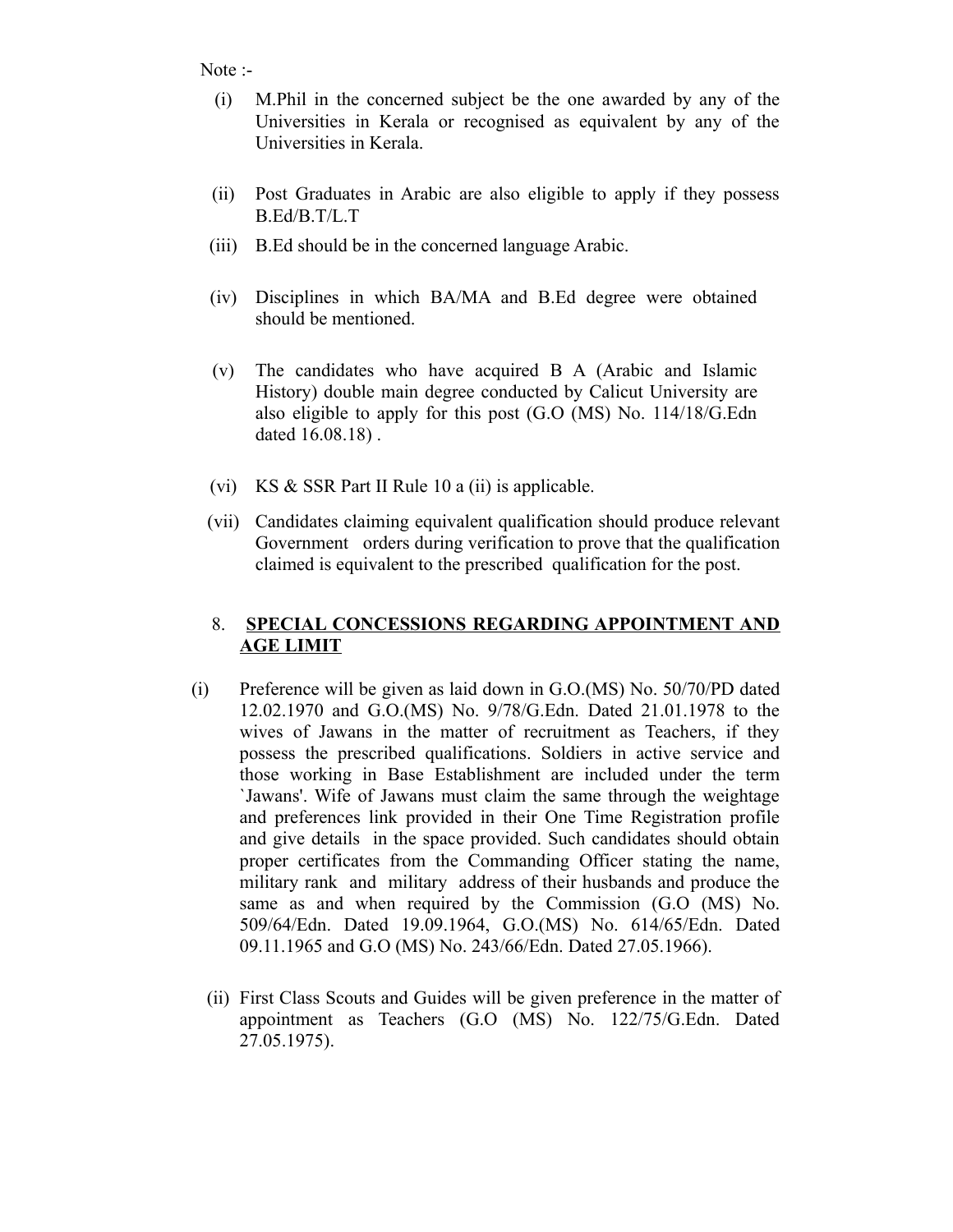Note :-

- (i) M.Phil in the concerned subject be the one awarded by any of the Universities in Kerala or recognised as equivalent by any of the Universities in Kerala.
- (ii) Post Graduates in Arabic are also eligible to apply if they possess B.Ed/B.T/L.T
- (iii) B.Ed should be in the concerned language Arabic.
- (iv) Disciplines in which BA/MA and B.Ed degree were obtained should be mentioned.
- (v) The candidates who have acquired B A (Arabic and Islamic History) double main degree conducted by Calicut University are also eligible to apply for this post (G.O (MS) No. 114/18/G.Edn dated 16.08.18) .
- (vi) KS & SSR Part II Rule 10 a (ii) is applicable.
- (vii) Candidates claiming equivalent qualification should produce relevant Government orders during verification to prove that the qualification claimed is equivalent to the prescribed qualification for the post.

# 8. **SPECIAL CONCESSIONS REGARDING APPOINTMENT AND AGE LIMIT**

- (i) Preference will be given as laid down in G.O.(MS) No. 50/70/PD dated 12.02.1970 and G.O.(MS) No. 9/78/G.Edn. Dated 21.01.1978 to the wives of Jawans in the matter of recruitment as Teachers, if they possess the prescribed qualifications. Soldiers in active service and those working in Base Establishment are included under the term `Jawans'. Wife of Jawans must claim the same through the weightage and preferences link provided in their One Time Registration profile and give details in the space provided. Such candidates should obtain proper certificates from the Commanding Officer stating the name, military rank and military address of their husbands and produce the same as and when required by the Commission (G.O (MS) No. 509/64/Edn. Dated 19.09.1964, G.O.(MS) No. 614/65/Edn. Dated 09.11.1965 and G.O (MS) No. 243/66/Edn. Dated 27.05.1966).
	- (ii) First Class Scouts and Guides will be given preference in the matter of appointment as Teachers (G.O (MS) No. 122/75/G.Edn. Dated 27.05.1975).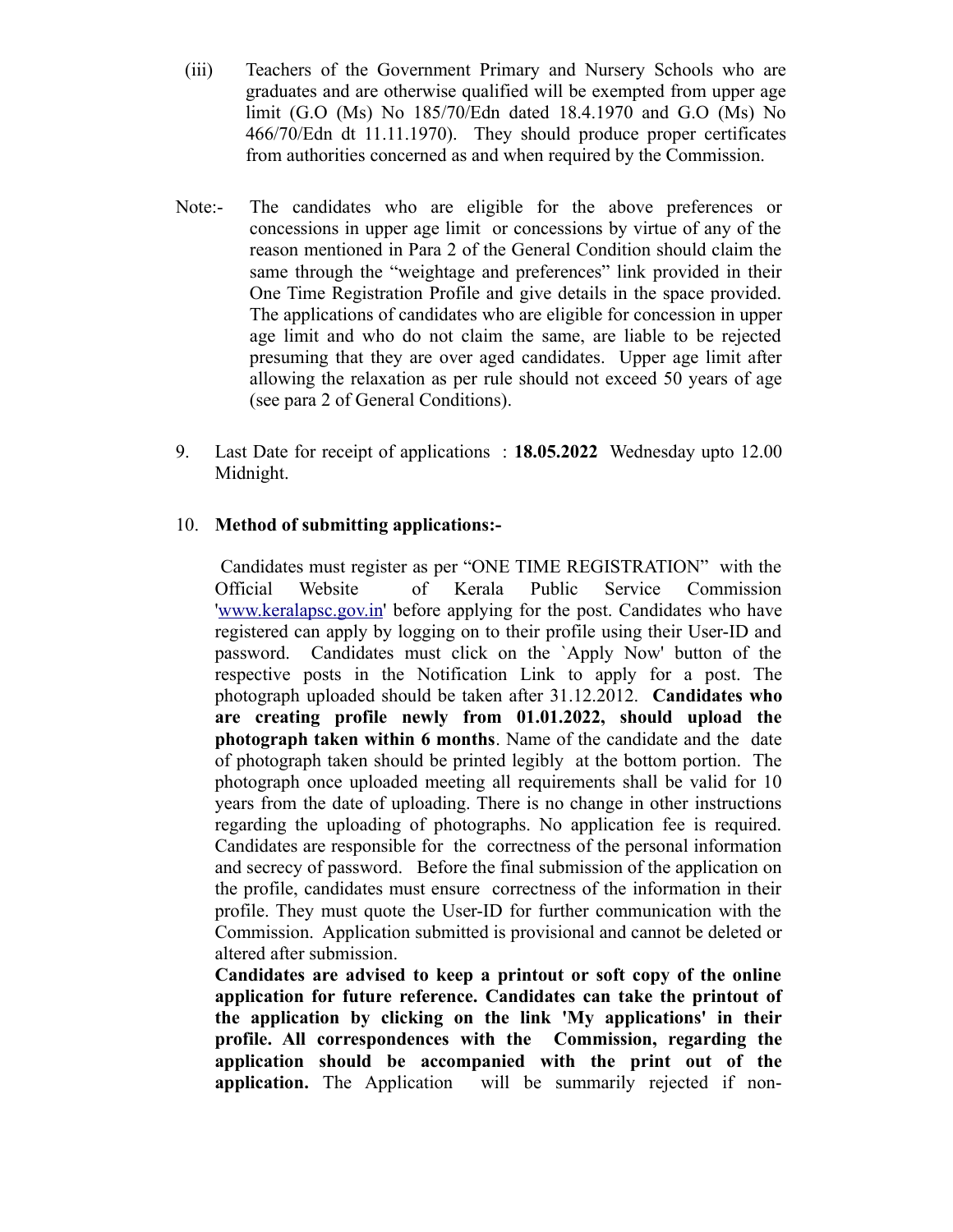- (iii) Teachers of the Government Primary and Nursery Schools who are graduates and are otherwise qualified will be exempted from upper age limit (G.O (Ms) No 185/70/Edn dated 18.4.1970 and G.O (Ms) No 466/70/Edn dt 11.11.1970). They should produce proper certificates from authorities concerned as and when required by the Commission.
- Note:- The candidates who are eligible for the above preferences or concessions in upper age limit or concessions by virtue of any of the reason mentioned in Para 2 of the General Condition should claim the same through the "weightage and preferences" link provided in their One Time Registration Profile and give details in the space provided. The applications of candidates who are eligible for concession in upper age limit and who do not claim the same, are liable to be rejected presuming that they are over aged candidates. Upper age limit after allowing the relaxation as per rule should not exceed 50 years of age (see para 2 of General Conditions).
- 9. Last Date for receipt of applications : **18.05.2022** Wednesday upto 12.00 Midnight.

# 10. **Method of submitting applications:-**

 Candidates must register as per "ONE TIME REGISTRATION" with the Official Website of Kerala Public Service Commission '[www.keralapsc.gov.in'](http://www.keralapsc.gov.in/) before applying for the post. Candidates who have registered can apply by logging on to their profile using their User-ID and password. Candidates must click on the `Apply Now' button of the respective posts in the Notification Link to apply for a post. The photograph uploaded should be taken after 31.12.2012. **Candidates who are creating profile newly from 01.01.2022, should upload the photograph taken within 6 months**. Name of the candidate and the date of photograph taken should be printed legibly at the bottom portion. The photograph once uploaded meeting all requirements shall be valid for 10 years from the date of uploading. There is no change in other instructions regarding the uploading of photographs. No application fee is required. Candidates are responsible for the correctness of the personal information and secrecy of password. Before the final submission of the application on the profile, candidates must ensure correctness of the information in their profile. They must quote the User-ID for further communication with the Commission. Application submitted is provisional and cannot be deleted or altered after submission.

**Candidates are advised to keep a printout or soft copy of the online application for future reference. Candidates can take the printout of the application by clicking on the link 'My applications' in their profile. All correspondences with the Commission, regarding the application should be accompanied with the print out of the application.** The Application will be summarily rejected if non-